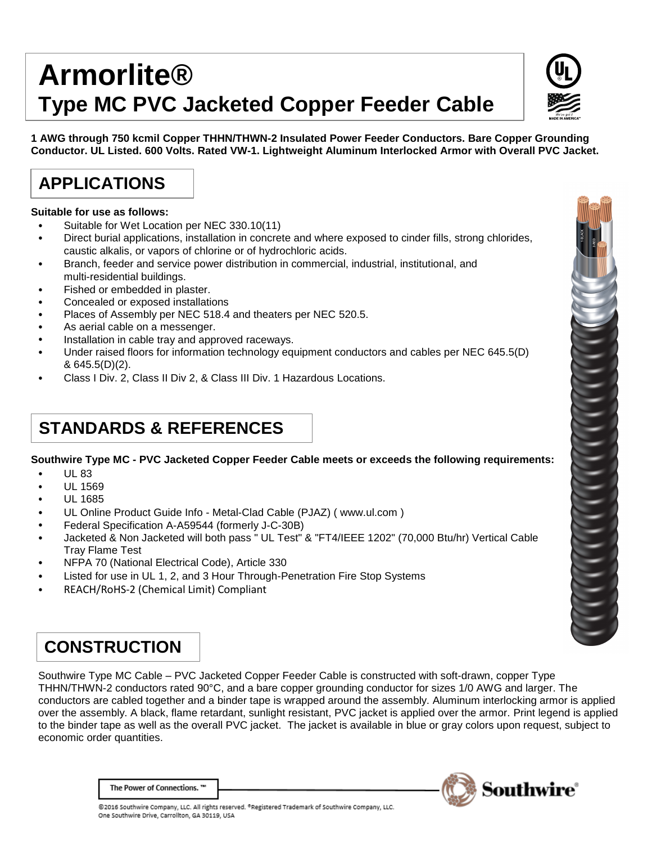# **Armorlite® Type MC PVC Jacketed Copper Feeder Cable**

**1 AWG through 750 kcmil Copper THHN/THWN-2 Insulated Power Feeder Conductors. Bare Copper Grounding Conductor. UL Listed. 600 Volts. Rated VW-1. Lightweight Aluminum Interlocked Armor with Overall PVC Jacket.**

# **APPLICATIONS**

#### **Suitable for use as follows:**

- Suitable for Wet Location per NEC 330.10(11)
- Direct burial applications, installation in concrete and where exposed to cinder fills, strong chlorides, caustic alkalis, or vapors of chlorine or of hydrochloric acids.
- Branch, feeder and service power distribution in commercial, industrial, institutional, and multi-residential buildings.
- Fished or embedded in plaster.
- Concealed or exposed installations
- Places of Assembly per NEC 518.4 and theaters per NEC 520.5.
- As aerial cable on a messenger.
- Installation in cable tray and approved raceways.
- Under raised floors for information technology equipment conductors and cables per NEC 645.5(D) & 645.5(D)(2).
- Class I Div. 2, Class II Div 2, & Class III Div. 1 Hazardous Locations.

### **STANDARDS & REFERENCES**

### **Southwire Type MC - PVC Jacketed Copper Feeder Cable meets or exceeds the following requirements:**

- UL 83
- UL 1569
- UL 1685
- UL Online Product Guide Info Metal-Clad Cable [\(PJAZ\) \( www.ul.com](http://www.ul.com/) )
- Federal Specification A-A59544 (formerly J-C-30B)
- Jacketed & Non Jacketed will both pass " UL Test" & "FT4/IEEE 1202" (70,000 Btu/hr) Vertical Cable Tray Flame Test
- NFPA 70 (National Electrical Code), Article 330
- Listed for use in UL 1, 2, and 3 Hour Through-Penetration Fire Stop Systems
- REACH/RoHS-2 (Chemical Limit) Compliant

# **CONSTRUCTION**

Southwire Type MC Cable – PVC Jacketed Copper Feeder Cable is constructed with soft-drawn, copper Type THHN/THWN-2 conductors rated 90°C, and a bare copper grounding conductor for sizes 1/0 AWG and larger. The conductors are cabled together and a binder tape is wrapped around the assembly. Aluminum interlocking armor is applied over the assembly. A black, flame retardant, sunlight resistant, PVC jacket is applied over the armor. Print legend is applied to the binder tape as well as the overall PVC jacket. The jacket is available in blue or gray colors upon request, subject to economic order quantities.

The Power of Connections. "



@2016 Southwire Company, LLC. All rights reserved. <sup>o</sup>Registered Trademark of Southwire Company, LLC. One Southwire Drive, Carrollton, GA 30119, USA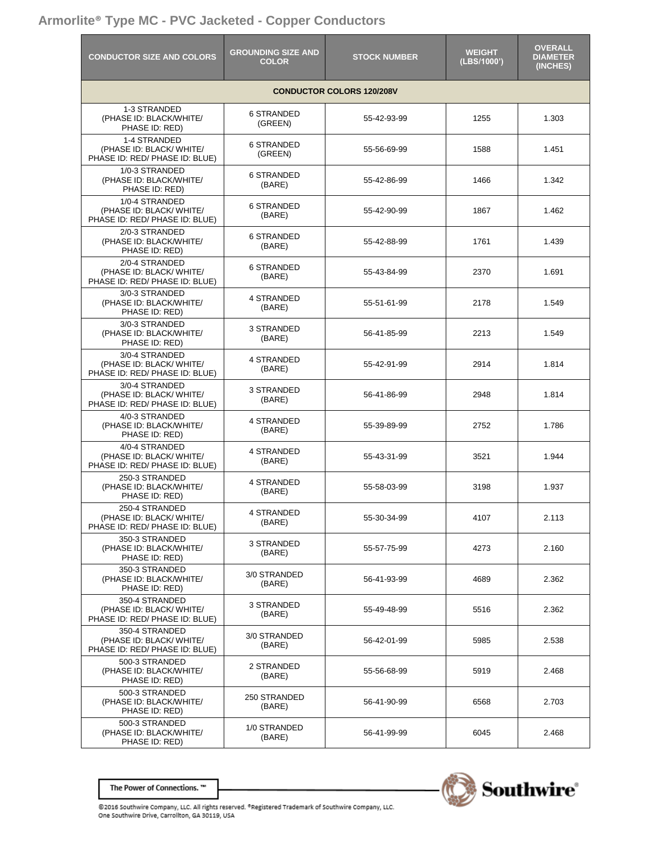### **Armorlite® Type MC - PVC Jacketed - Copper Conductors**

| <b>CONDUCTOR SIZE AND COLORS</b>                                                                                                                                | <b>GROUNDING SIZE AND</b><br><b>COLOR</b> | <b>STOCK NUMBER</b> | <b>WEIGHT</b><br>(LBS/1000') | <b>OVERALL</b><br><b>DIAMETER</b><br>(INCHES) |
|-----------------------------------------------------------------------------------------------------------------------------------------------------------------|-------------------------------------------|---------------------|------------------------------|-----------------------------------------------|
|                                                                                                                                                                 |                                           |                     |                              |                                               |
| 1-3 STRANDED<br>(PHASE ID: BLACK/WHITE/<br>PHASE ID: RED)                                                                                                       | <b>6 STRANDED</b><br>(GREEN)              | 55-42-93-99         | 1255                         | 1.303                                         |
| 1-4 STRANDED<br>(PHASE ID: BLACK/ WHITE/<br>PHASE ID: RED/ PHASE ID: BLUE)                                                                                      | <b>6 STRANDED</b><br>(GREEN)              | 55-56-69-99         | 1588                         | 1.451                                         |
| 1/0-3 STRANDED<br>(PHASE ID: BLACK/WHITE/<br>PHASE ID: RED)                                                                                                     | <b>6 STRANDED</b><br>(BARE)               | 55-42-86-99         | 1466                         | 1.342                                         |
| 1/0-4 STRANDED<br>(PHASE ID: BLACK/ WHITE/<br>PHASE ID: RED/ PHASE ID: BLUE)                                                                                    | <b>6 STRANDED</b><br>(BARE)               | 55-42-90-99         | 1867                         | 1.462                                         |
| 2/0-3 STRANDED<br>(PHASE ID: BLACK/WHITE/<br>PHASE ID: RED)                                                                                                     | <b>6 STRANDED</b><br>(BARE)               | 55-42-88-99         | 1761                         | 1.439                                         |
| 2/0-4 STRANDED<br>(PHASE ID: BLACK/ WHITE/<br>PHASE ID: RED/ PHASE ID: BLUE)                                                                                    | <b>6 STRANDED</b><br>(BARE)               | 55-43-84-99         | 2370                         | 1.691                                         |
| 3/0-3 STRANDED<br>(PHASE ID: BLACK/WHITE/<br>PHASE ID: RED)                                                                                                     | 4 STRANDED<br>(BARE)                      | 55-51-61-99         | 2178                         | 1.549                                         |
| 3/0-3 STRANDED<br>(PHASE ID: BLACK/WHITE/<br>PHASE ID: RED)                                                                                                     | 3 STRANDED<br>(BARE)                      | 56-41-85-99         | 2213                         | 1.549                                         |
| 3/0-4 STRANDED<br>(PHASE ID: BLACK/ WHITE/<br>PHASE ID: RED/ PHASE ID: BLUE)                                                                                    | 4 STRANDED<br>(BARE)                      | 55-42-91-99         | 2914                         | 1.814                                         |
| 3/0-4 STRANDED<br>(PHASE ID: BLACK/ WHITE/<br>PHASE ID: RED/ PHASE ID: BLUE)                                                                                    | 3 STRANDED<br>(BARE)                      | 56-41-86-99         | 2948                         | 1.814                                         |
| 4/0-3 STRANDED<br>(PHASE ID: BLACK/WHITE/<br>PHASE ID: RED)                                                                                                     | 4 STRANDED<br>(BARE)                      | 55-39-89-99         | 2752                         | 1.786                                         |
| 4/0-4 STRANDED<br>(PHASE ID: BLACK/ WHITE/<br>PHASE ID: RED/ PHASE ID: BLUE)                                                                                    | <b>4 STRANDED</b><br>(BARE)               | 55-43-31-99         | 3521                         | 1.944                                         |
| 250-3 STRANDED<br>(PHASE ID: BLACK/WHITE/<br>PHASE ID: RED)                                                                                                     | <b>4 STRANDED</b><br>(BARE)               | 55-58-03-99         | 3198                         | 1.937                                         |
| 250-4 STRANDED<br>(PHASE ID: BLACK/ WHITE/<br>PHASE ID: RED/ PHASE ID: BLUE)                                                                                    | 4 STRANDED<br>(BARE)                      | 55-30-34-99         | 4107                         | 2.113                                         |
| 350-3 STRANDED<br>(PHASE ID: BLACK/WHITE/<br>PHASE ID: RED)                                                                                                     | 3 STRANDED<br>(BARE)                      | 55-57-75-99         | 4273                         | 2.160                                         |
| 350-3 STRANDED<br>(PHASE ID: BLACK/WHITE/<br>PHASE ID: RED)                                                                                                     | 3/0 STRANDED<br>(BARE)                    | 56-41-93-99         | 4689                         | 2.362                                         |
| 350-4 STRANDED<br>(PHASE ID: BLACK/ WHITE/<br>PHASE ID: RED/ PHASE ID: BLUE)                                                                                    | 3 STRANDED<br>(BARE)                      | 55-49-48-99         | 5516                         | 2.362                                         |
| 350-4 STRANDED<br>(PHASE ID: BLACK/ WHITE/<br>(BARE)<br>PHASE ID: RED/ PHASE ID: BLUE)<br>500-3 STRANDED<br>(PHASE ID: BLACK/WHITE/<br>(BARE)<br>PHASE ID: RED) | 3/0 STRANDED                              | 56-42-01-99         | 5985                         | 2.538                                         |
|                                                                                                                                                                 | 2 STRANDED                                | 55-56-68-99         | 5919                         | 2.468                                         |
| 500-3 STRANDED<br>(PHASE ID: BLACK/WHITE/<br>PHASE ID: RED)                                                                                                     | 250 STRANDED<br>(BARE)                    | 56-41-90-99         | 6568                         | 2.703                                         |
| 500-3 STRANDED<br>(PHASE ID: BLACK/WHITE/<br>PHASE ID: RED)                                                                                                     | 1/0 STRANDED<br>(BARE)                    | 56-41-99-99         | 6045                         | 2.468                                         |

The Power of Connections. ™



@2016 Southwire Company, LLC. All rights reserved. <sup>o</sup>Registered Trademark of Southwire Company, LLC. One Southwire Drive, Carrollton, GA 30119, USA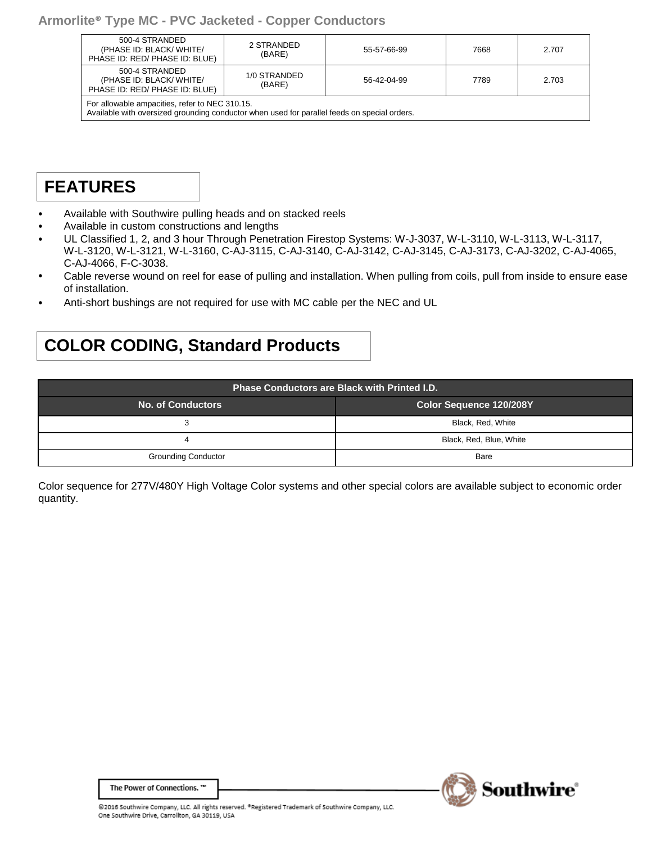| 500-4 STRANDED<br>(PHASE ID: BLACK/ WHITE/<br>PHASE ID: RED/ PHASE ID: BLUE)                                                                   | 2 STRANDED<br>(BARE)   | 55-57-66-99 | 7668 | 2.707 |  |
|------------------------------------------------------------------------------------------------------------------------------------------------|------------------------|-------------|------|-------|--|
| 500-4 STRANDED<br>(PHASE ID: BLACK/ WHITE/<br>PHASE ID: RED/ PHASE ID: BLUE)                                                                   | 1/0 STRANDED<br>(BARE) | 56-42-04-99 | 7789 | 2.703 |  |
| For allowable ampacities, refer to NEC 310.15.<br>Available with oversized grounding conductor when used for parallel feeds on special orders. |                        |             |      |       |  |

## **FEATURES**

- Available with Southwire pulling heads and on stacked reels
- Available in custom constructions and lengths
- UL Classified 1, 2, and 3 hour Through Penetration Firestop Systems: W-J-3037, W-L-3110, W-L-3113, W-L-3117, W-L-3120, W-L-3121, W-L-3160, C-AJ-3115, C-AJ-3140, C-AJ-3142, C-AJ-3145, C-AJ-3173, C-AJ-3202, C-AJ-4065, C-AJ-4066, F-C-3038.
- Cable reverse wound on reel for ease of pulling and installation. When pulling from coils, pull from inside to ensure ease of installation.
- Anti-short bushings are not required for use with MC cable per the NEC and UL

### **COLOR CODING, Standard Products**

| <b>Phase Conductors are Black with Printed I.D.</b> |                                |  |  |
|-----------------------------------------------------|--------------------------------|--|--|
| <b>No. of Conductors</b>                            | <b>Color Sequence 120/208Y</b> |  |  |
| 3                                                   | Black, Red, White              |  |  |
| 4                                                   | Black, Red, Blue, White        |  |  |
| <b>Grounding Conductor</b>                          | Bare                           |  |  |

Color sequence for 277V/480Y High Voltage Color systems and other special colors are available subject to economic order quantity.



The Power of Connections. "